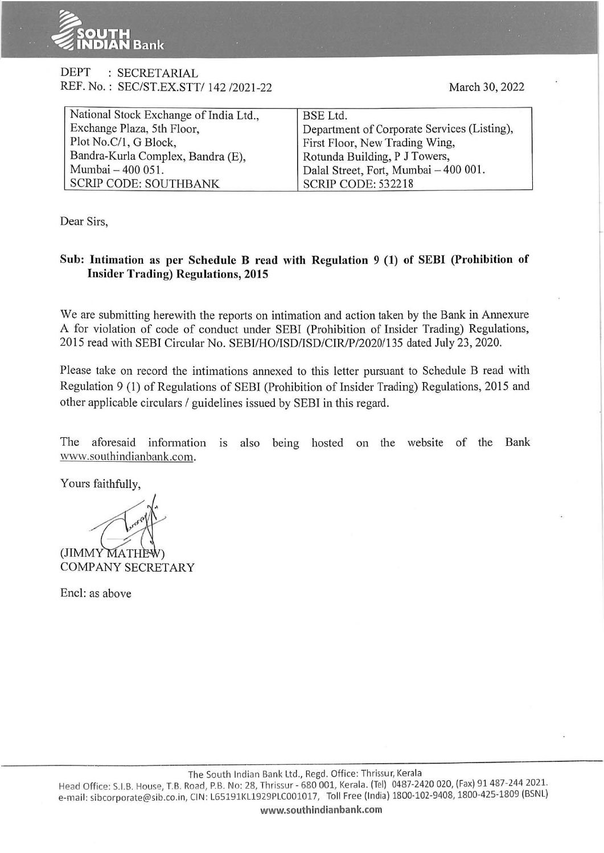

## DEPT : SECRETARIAL REF. No.: SEC/ST.EX.STT/ 142/2021-22 March 30, 2022

| National Stock Exchange of India Ltd., | BSE Ltd.                                    |
|----------------------------------------|---------------------------------------------|
| Exchange Plaza, 5th Floor,             | Department of Corporate Services (Listing), |
| Plot No.C/1, G Block,                  | First Floor, New Trading Wing,              |
| Bandra-Kurla Complex, Bandra (E),      | Rotunda Building, P J Towers,               |
| Mumbai - 400 051.                      | Dalal Street, Fort, Mumbai - 400 001.       |
| <b>SCRIP CODE: SOUTHBANK</b>           | <b>SCRIP CODE: 532218</b>                   |

Dear Sirs,

## **Sub: Intimation as per Schedule B read with Regulation 9 (1) of SEBI (Prohibition of Insider Trading) Regulations, 2015**

We are submitting herewith the reports on intimation and action taken by the Bank in Annexure A for violation of code of conduct under SEBI (Prohibition of Insider Trading) Regulations, 2015 read with SEBI Circular No. SEBI/HO/ISD/ISD/CIR/P/2020/135 dated July 23, 2020.

Please take on record the intimations annexed to this letter pursuant to Schedule B read with Regulation 9 (1) of Regulations of SEBI (Prohibition of Insider Trading) Regulations, 2015 and other applicable circulars / guidelines issued by SEBI in this regard.

The aforesaid information is also being hosted on the website of the Bank www.southindianbank.com.

Yours faithfully,

(JIMMY MATHE<sup>)</sup> COMPANY SECRETARY

Encl: as above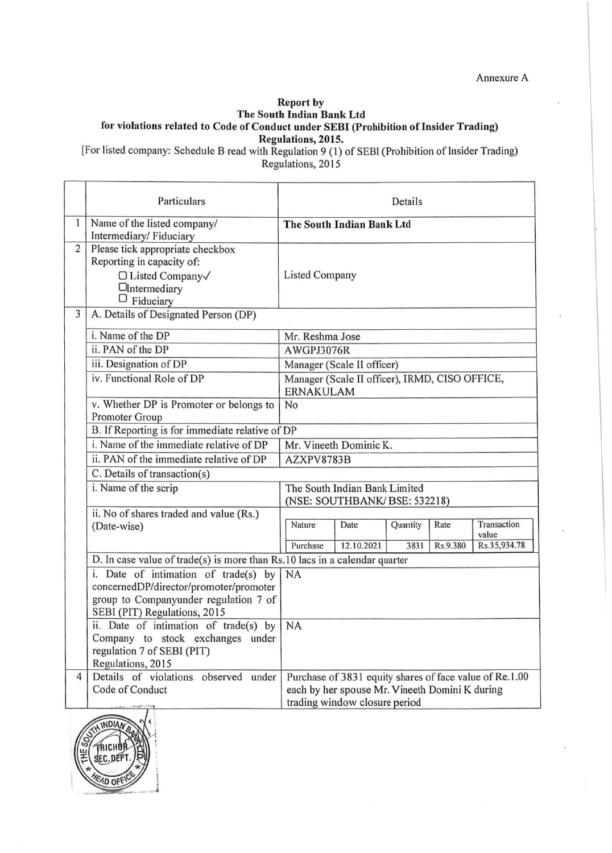Annexure A

## **Report by The South Indian Bank Ltd for violations related to Code of Conduct under SEBI (Prohibition of Insider Trading) Regulations, 2015.**

[For listed company: Schedule B read with Regulation 9 (1) of SEBI (Prohibition of Insider Trading) Regulations, 2015

|                | Particulars                                                                                                                       | Details                                                                                                                                    |                                                |                  |                  |                                      |
|----------------|-----------------------------------------------------------------------------------------------------------------------------------|--------------------------------------------------------------------------------------------------------------------------------------------|------------------------------------------------|------------------|------------------|--------------------------------------|
| 1              | Name of the listed company/<br>Intermediary/Fiduciary                                                                             | The South Indian Bank Ltd                                                                                                                  |                                                |                  |                  |                                      |
| $\overline{2}$ | Please tick appropriate checkbox<br>Reporting in capacity of:<br>□ Listed Company√<br><b>O</b> Intermediary<br>$\Box$ Fiduciary   | <b>Listed Company</b>                                                                                                                      |                                                |                  |                  |                                      |
| 3              | A. Details of Designated Person (DP)                                                                                              |                                                                                                                                            |                                                |                  |                  |                                      |
|                | i. Name of the DP                                                                                                                 | Mr. Reshma Jose                                                                                                                            |                                                |                  |                  |                                      |
|                | ii. PAN of the DP                                                                                                                 | AWGPJ3076R                                                                                                                                 |                                                |                  |                  |                                      |
|                | iii. Designation of DP                                                                                                            | Manager (Scale II officer)                                                                                                                 |                                                |                  |                  |                                      |
|                | iv. Functional Role of DP                                                                                                         | <b>ERNAKULAM</b>                                                                                                                           | Manager (Scale II officer), IRMD, CISO OFFICE, |                  |                  |                                      |
|                | v. Whether DP is Promoter or belongs to<br>Promoter Group                                                                         | No                                                                                                                                         |                                                |                  |                  |                                      |
|                | B. If Reporting is for immediate relative of DP                                                                                   |                                                                                                                                            |                                                |                  |                  |                                      |
|                | i. Name of the immediate relative of DP                                                                                           | Mr. Vineeth Dominic K.                                                                                                                     |                                                |                  |                  |                                      |
|                | ii. PAN of the immediate relative of DP                                                                                           | AZXPV8783B                                                                                                                                 |                                                |                  |                  |                                      |
|                | C. Details of transaction(s)                                                                                                      |                                                                                                                                            |                                                |                  |                  |                                      |
|                | i. Name of the scrip                                                                                                              | The South Indian Bank Limited<br>(NSE: SOUTHBANK/BSE: 532218)                                                                              |                                                |                  |                  |                                      |
|                | ii. No of shares traded and value (Rs.)<br>(Date-wise)                                                                            | Nature<br>Purchase                                                                                                                         | Date<br>12.10.2021                             | Quantity<br>3831 | Rate<br>Rs.9.380 | Transaction<br>value<br>Rs.35,934.78 |
|                | D. In case value of trade(s) is more than $Rs.10$ lacs in a calendar quarter                                                      |                                                                                                                                            |                                                |                  |                  |                                      |
|                | i. Date of intimation of trade(s) by                                                                                              | <b>NA</b>                                                                                                                                  |                                                |                  |                  |                                      |
|                | concernedDP/director/promoter/promoter<br>group to Companyunder regulation 7 of<br>SEBI (PIT) Regulations, 2015                   |                                                                                                                                            |                                                |                  |                  |                                      |
|                | ii. Date of intimation of trade(s) by   NA<br>Company to stock exchanges under<br>regulation 7 of SEBI (PIT)<br>Regulations, 2015 |                                                                                                                                            |                                                |                  |                  |                                      |
| $\overline{4}$ | Details of violations observed under<br>Code of Conduct                                                                           | Purchase of 3831 equity shares of face value of Re.1.00<br>each by her spouse Mr. Vineeth Domini K during<br>trading window closure period |                                                |                  |                  |                                      |